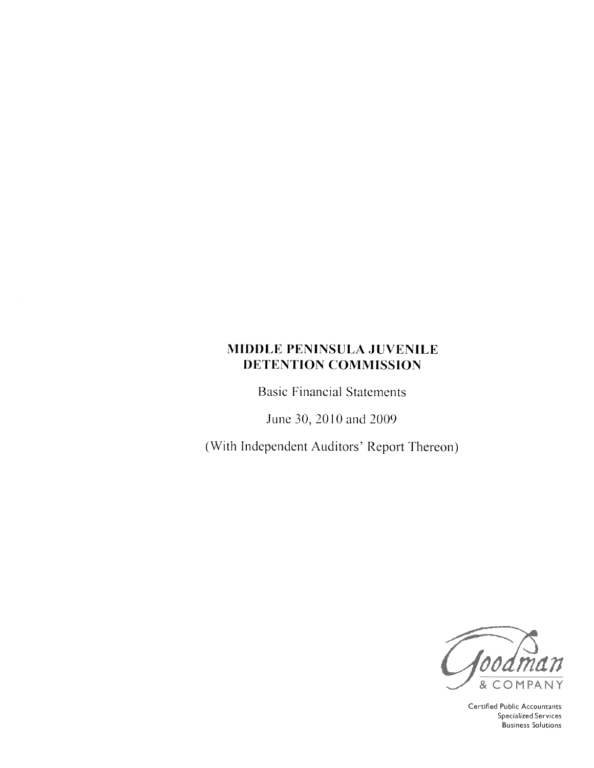**Basic Financial Statements** 

June 30, 2010 and 2009

(With Independent Auditors' Report Thereon)



Certified Public Accountants **Specialized Services Business Solutions**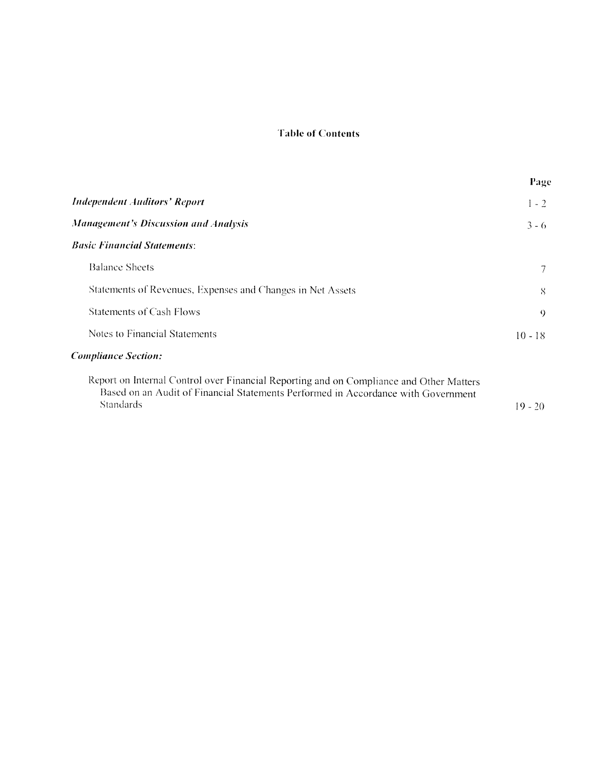# **Table of Contents**

|                                                                                                                                                                                                  | Page      |
|--------------------------------------------------------------------------------------------------------------------------------------------------------------------------------------------------|-----------|
| <b>Independent Auditors' Report</b>                                                                                                                                                              | $1 - 2$   |
| <b>Management's Discussion and Analysis</b>                                                                                                                                                      | $3 - 6$   |
| <b>Basic Financial Statements:</b>                                                                                                                                                               |           |
| <b>Balance Sheets</b>                                                                                                                                                                            |           |
| Statements of Revenues, Expenses and Changes in Net Assets                                                                                                                                       | 8         |
| Statements of Cash Flows                                                                                                                                                                         | $\Omega$  |
| Notes to Financial Statements                                                                                                                                                                    | $10 - 18$ |
| <b>Compliance Section:</b>                                                                                                                                                                       |           |
| Report on Internal Control over Financial Reporting and on Compliance and Other Matters<br>Based on an Audit of Financial Statements Performed in Accordance with Government<br><b>Standards</b> | $19 - 20$ |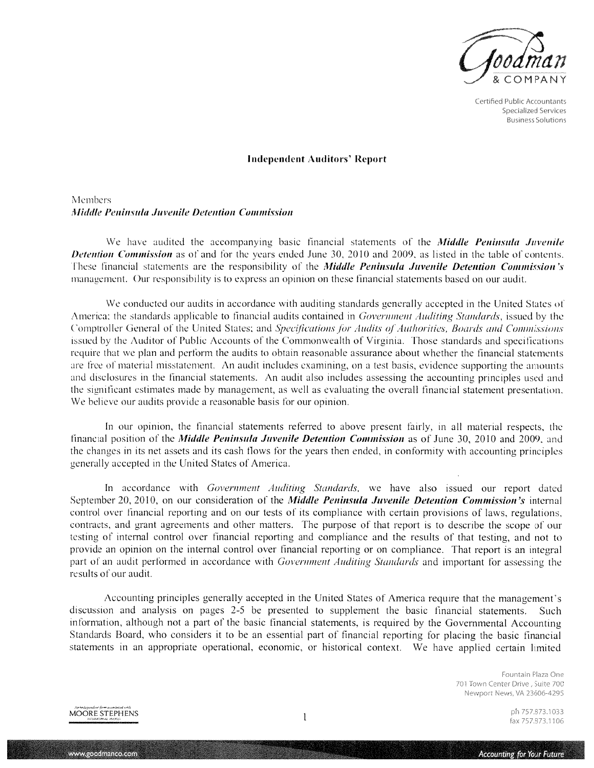

Certified Public Accountants **Specialized Services Business Solutions** 

#### **Independent Auditors' Report**

## Members Middle Peninsula Juvenile Detention Commission

We have audited the accompanying basic financial statements of the *Middle Peninsula Juvenile* **Detention Commission** as of and for the years ended June 30, 2010 and 2009, as listed in the table of contents. These financial statements are the responsibility of the Middle Peninsula Juvenile Detention Commission's management. Our responsibility is to express an opinion on these financial statements based on our audit.

We conducted our audits in accordance with auditing standards generally accepted in the United States of America; the standards applicable to financial audits contained in *Government Auditing Standards*, issued by the Comptroller General of the United States; and Specifications for Audits of Authorities, Boards and Commissions issued by the Auditor of Public Accounts of the Commonwealth of Virginia. Those standards and specifications require that we plan and perform the audits to obtain reasonable assurance about whether the financial statements are free of material misstatement. An audit includes examining, on a test basis, evidence supporting the amounts and disclosures in the financial statements. An audit also includes assessing the accounting principles used and the significant estimates made by management, as well as evaluating the overall financial statement presentation. We believe our audits provide a reasonable basis for our opinion.

In our opinion, the financial statements referred to above present fairly, in all material respects, the financial position of the *Middle Peninsula Juvenile Detention Commission* as of June 30, 2010 and 2009, and the changes in its net assets and its cash flows for the years then ended, in conformity with accounting principles generally accepted in the United States of America.

In accordance with Government Auditing Standards, we have also issued our report dated September 20, 2010, on our consideration of the *Middle Peninsula Juvenile Detention Commission's* internal control over financial reporting and on our tests of its compliance with certain provisions of laws, regulations, contracts, and grant agreements and other matters. The purpose of that report is to describe the scope of our testing of internal control over financial reporting and compliance and the results of that testing, and not to provide an opinion on the internal control over financial reporting or on compliance. That report is an integral part of an audit performed in accordance with Government Auditing Standards and important for assessing the results of our audit.

Accounting principles generally accepted in the United States of America require that the management's discussion and analysis on pages 2-5 be presented to supplement the basic financial statements. Such information, although not a part of the basic financial statements, is required by the Governmental Accounting Standards Board, who considers it to be an essential part of financial reporting for placing the basic financial statements in an appropriate operational, economic, or historical context. We have applied certain limited

> Fountain Plaza One 701 Town Center Drive, Suite 700 Newport News, VA 23606-4295



www.goodmanco.com

ph 757.873.1033 fax 757.873,1106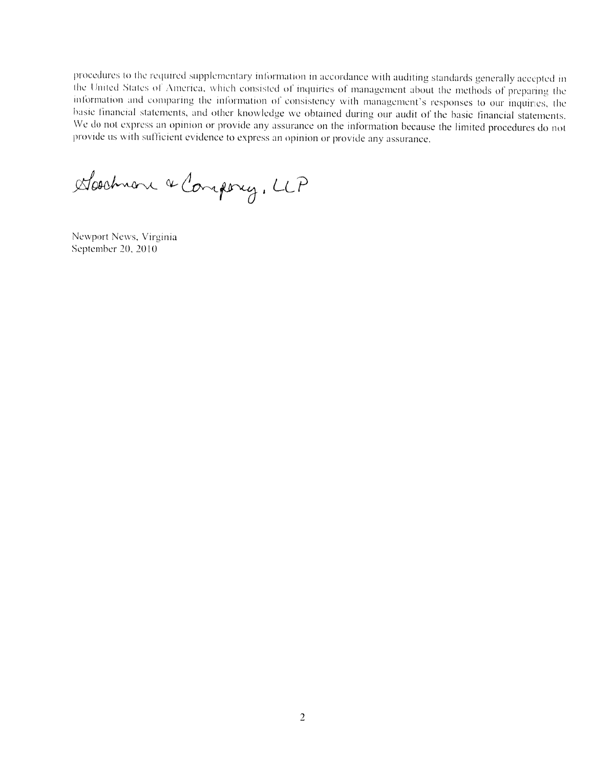procedures to the required supplementary information in accordance with auditing standards generally accepted in the United States of America, which consisted of inquiries of management about the methods of preparing the information and comparing the information of consistency with management's responses to our inquiries, the basic financial statements, and other knowledge we obtained during our audit of the basic financial statements. We do not express an opinion or provide any assurance on the information because the limited procedures do not provide us with sufficient evidence to express an opinion or provide any assurance.

Doodmone & Company, LLP

Newport News, Virginia September 20, 2010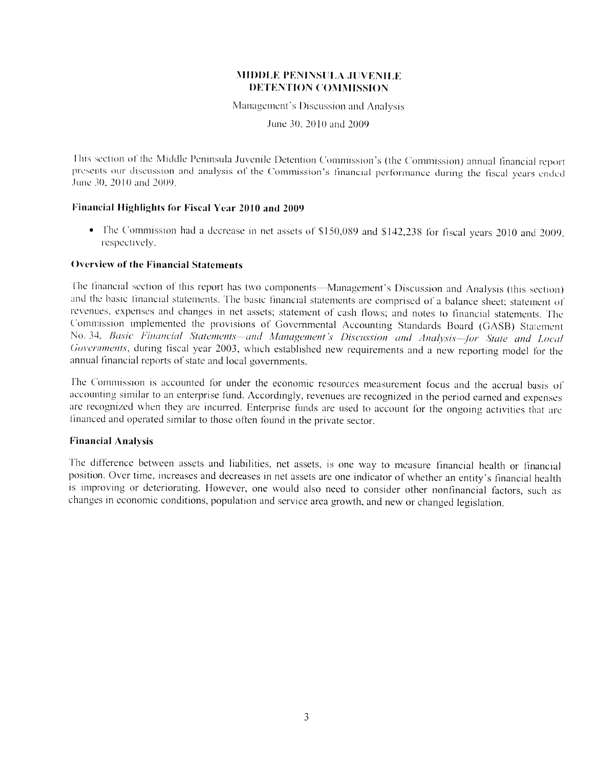Management's Discussion and Analysis

June 30, 2010 and 2009

This section of the Middle Peninsula Juvenile Detention Commission's (the Commission) annual financial report presents our discussion and analysis of the Commission's financial performance during the fiscal years ended June 30, 2010 and 2009.

### Financial Highlights for Fiscal Year 2010 and 2009

• The Commission had a decrease in net assets of \$150,089 and \$142,238 for fiscal years 2010 and 2009, respectively.

#### **Overview of the Financial Statements**

The financial section of this report has two components-Management's Discussion and Analysis (this section) and the basic financial statements. The basic financial statements are comprised of a balance sheet; statement of revenues, expenses and changes in net assets; statement of cash flows; and notes to financial statements. The Commission implemented the provisions of Governmental Accounting Standards Board (GASB) Statement No. 34, Basic Financial Statements-and Management's Discussion and Analysis-for State and Local Governments, during fiscal year 2003, which established new requirements and a new reporting model for the annual financial reports of state and local governments.

The Commission is accounted for under the economic resources measurement focus and the accrual basis of accounting similar to an enterprise fund. Accordingly, revenues are recognized in the period earned and expenses are recognized when they are incurred. Enterprise funds are used to account for the ongoing activities that are financed and operated similar to those often found in the private sector.

#### **Financial Analysis**

The difference between assets and liabilities, net assets, is one way to measure financial health or financial position. Over time, increases and decreases in net assets are one indicator of whether an entity's financial health is improving or deteriorating. However, one would also need to consider other nonfinancial factors, such as changes in economic conditions, population and service area growth, and new or changed legislation.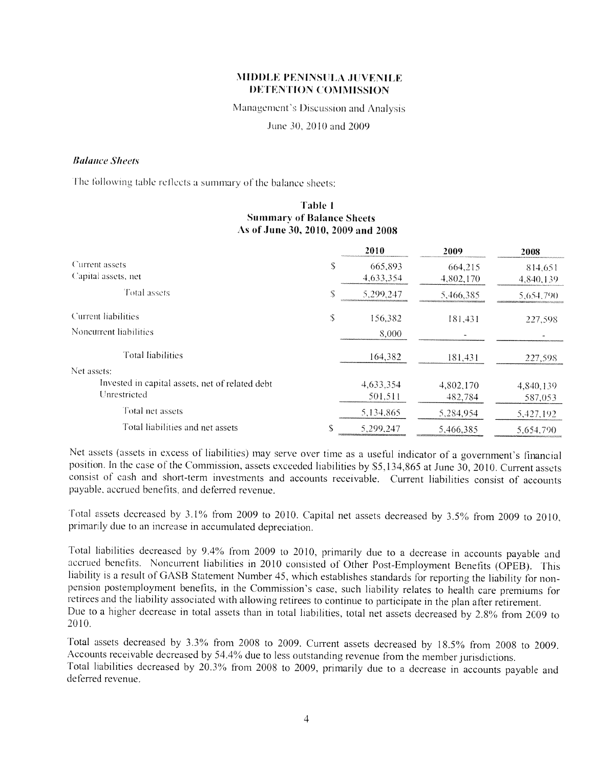Management's Discussion and Analysis

June 30, 2010 and 2009

#### **Balance Sheets**

The following table reflects a summary of the balance sheets:

#### Table 1 **Summary of Balance Sheets** As of June 30, 2010, 2009 and 2008

|                                                 |   | 2010      | 2009      | 2008      |
|-------------------------------------------------|---|-----------|-----------|-----------|
| Current assets                                  | S | 665,893   | 664,215   | 814,651   |
| Capital assets, net                             |   | 4,633,354 | 4,802,170 | 4,840,139 |
| Total assets                                    |   | 5.299.247 | 5,466,385 | 5,654,790 |
| Current liabilities                             | S | 156,382   | 181,431   | 227,598   |
| Noncurrent liabilities                          |   | 8,000     |           |           |
| Total liabilities                               |   | 164,382   | 181,431   | 227,598   |
| Net assets:                                     |   |           |           |           |
| Invested in capital assets, net of related debt |   | 4,633,354 | 4,802,170 | 4,840,139 |
| Unrestricted                                    |   | 501,511   | 482,784   | 587,053   |
| Total net assets                                |   | 5,134,865 | 5,284,954 | 5,427,192 |
| Total liabilities and net assets                |   | 5,299,247 | 5,466,385 | 5.654.790 |

Net assets (assets in excess of liabilities) may serve over time as a useful indicator of a government's financial position. In the case of the Commission, assets exceeded liabilities by \$5,134,865 at June 30, 2010. Current assets consist of cash and short-term investments and accounts receivable. Current liabilities consist of accounts payable, accrued benefits, and deferred revenue.

Total assets decreased by 3.1% from 2009 to 2010. Capital net assets decreased by 3.5% from 2009 to 2010, primarily due to an increase in accumulated depreciation.

Total liabilities decreased by 9.4% from 2009 to 2010, primarily due to a decrease in accounts payable and accrued benefits. Noncurrent liabilities in 2010 consisted of Other Post-Employment Benefits (OPEB). This liability is a result of GASB Statement Number 45, which establishes standards for reporting the liability for nonpension postemployment benefits, in the Commission's case, such liability relates to health care premiums for retirees and the liability associated with allowing retirees to continue to participate in the plan after retirement. Due to a higher decrease in total assets than in total liabilities, total net assets decreased by 2.8% from 2009 to 2010.

Total assets decreased by 3.3% from 2008 to 2009. Current assets decreased by 18.5% from 2008 to 2009. Accounts receivable decreased by 54.4% due to less outstanding revenue from the member jurisdictions. Total liabilities decreased by 20.3% from 2008 to 2009, primarily due to a decrease in accounts payable and deferred revenue.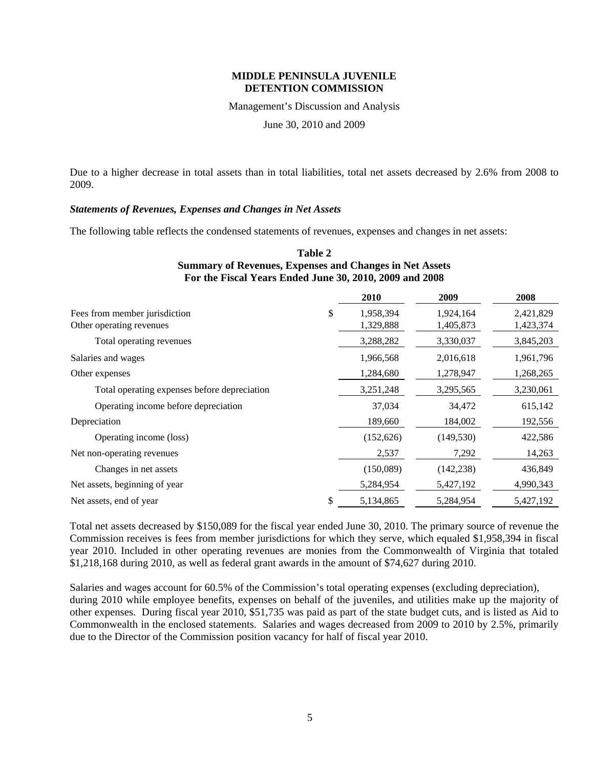Management's Discussion and Analysis

June 30, 2010 and 2009

Due to a higher decrease in total assets than in total liabilities, total net assets decreased by 2.6% from 2008 to 2009.

#### *Statements of Revenues, Expenses and Changes in Net Assets*

The following table reflects the condensed statements of revenues, expenses and changes in net assets:

#### **Table 2 Summary of Revenues, Expenses and Changes in Net Assets For the Fiscal Years Ended June 30, 2010, 2009 and 2008**

|                                              | 2010            | 2009       | 2008      |
|----------------------------------------------|-----------------|------------|-----------|
| Fees from member jurisdiction                | \$<br>1,958,394 | 1,924,164  | 2,421,829 |
| Other operating revenues                     | 1,329,888       | 1,405,873  | 1,423,374 |
| Total operating revenues                     | 3,288,282       | 3,330,037  | 3,845,203 |
| Salaries and wages                           | 1,966,568       | 2,016,618  | 1,961,796 |
| Other expenses                               | 1,284,680       | 1,278,947  | 1,268,265 |
| Total operating expenses before depreciation | 3,251,248       | 3,295,565  | 3,230,061 |
| Operating income before depreciation         | 37,034          | 34,472     | 615,142   |
| Depreciation                                 | 189,660         | 184,002    | 192,556   |
| Operating income (loss)                      | (152, 626)      | (149, 530) | 422,586   |
| Net non-operating revenues                   | 2,537           | 7,292      | 14,263    |
| Changes in net assets                        | (150,089)       | (142, 238) | 436,849   |
| Net assets, beginning of year                | 5,284,954       | 5,427,192  | 4,990,343 |
| Net assets, end of year                      | \$<br>5,134,865 | 5,284,954  | 5,427,192 |

Total net assets decreased by \$150,089 for the fiscal year ended June 30, 2010. The primary source of revenue the Commission receives is fees from member jurisdictions for which they serve, which equaled \$1,958,394 in fiscal year 2010. Included in other operating revenues are monies from the Commonwealth of Virginia that totaled \$1,218,168 during 2010, as well as federal grant awards in the amount of \$74,627 during 2010.

Salaries and wages account for 60.5% of the Commission's total operating expenses (excluding depreciation), during 2010 while employee benefits, expenses on behalf of the juveniles, and utilities make up the majority of other expenses. During fiscal year 2010, \$51,735 was paid as part of the state budget cuts, and is listed as Aid to Commonwealth in the enclosed statements. Salaries and wages decreased from 2009 to 2010 by 2.5%, primarily due to the Director of the Commission position vacancy for half of fiscal year 2010.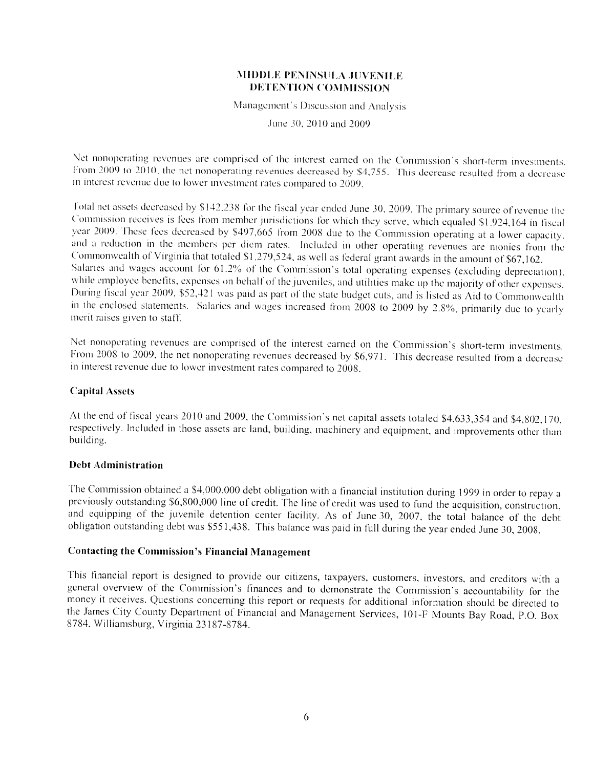Management's Discussion and Analysis

June 30, 2010 and 2009

Net nonoperating revenues are comprised of the interest earned on the Commission's short-term investments. From 2009 to 2010, the net nonoperating revenues decreased by \$4,755. This decrease resulted from a decrease in interest revenue due to lower investment rates compared to 2009.

Total net assets decreased by \$142,238 for the fiscal year ended June 30, 2009. The primary source of revenue the Commission receives is fees from member jurisdictions for which they serve, which equaled \$1,924,164 in fiscal year 2009. These fees decreased by \$497,665 from 2008 due to the Commission operating at a lower capacity, and a reduction in the members per diem rates. Included in other operating revenues are monies from the Commonwealth of Virginia that totaled \$1,279,524, as well as federal grant awards in the amount of \$67,162. Salaries and wages account for 61.2% of the Commission's total operating expenses (excluding depreciation), while employee benefits, expenses on behalf of the juveniles, and utilities make up the majority of other expenses. During fiscal year 2009, \$52,421 was paid as part of the state budget cuts, and is listed as Aid to Commonwealth in the enclosed statements. Salaries and wages increased from 2008 to 2009 by 2.8%, primarily due to yearly merit raises given to staff.

Net nonoperating revenues are comprised of the interest earned on the Commission's short-term investments. From 2008 to 2009, the net nonoperating revenues decreased by \$6,971. This decrease resulted from a decrease in interest revenue due to lower investment rates compared to 2008.

### **Capital Assets**

At the end of fiscal years 2010 and 2009, the Commission's net capital assets totaled \$4,633,354 and \$4,802,170, respectively. Included in those assets are land, building, machinery and equipment, and improvements other than building.

#### **Debt Administration**

The Commission obtained a \$4,000,000 debt obligation with a financial institution during 1999 in order to repay a previously outstanding \$6,800,000 line of credit. The line of credit was used to fund the acquisition, construction, and equipping of the juvenile detention center facility. As of June 30, 2007, the total balance of the debt obligation outstanding debt was \$551,438. This balance was paid in full during the year ended June 30, 2008.

## **Contacting the Commission's Financial Management**

This financial report is designed to provide our citizens, taxpayers, customers, investors, and creditors with a general overview of the Commission's finances and to demonstrate the Commission's accountability for the money it receives. Questions concerning this report or requests for additional information should be directed to the James City County Department of Financial and Management Services, 101-F Mounts Bay Road, P.O. Box 8784, Williamsburg, Virginia 23187-8784.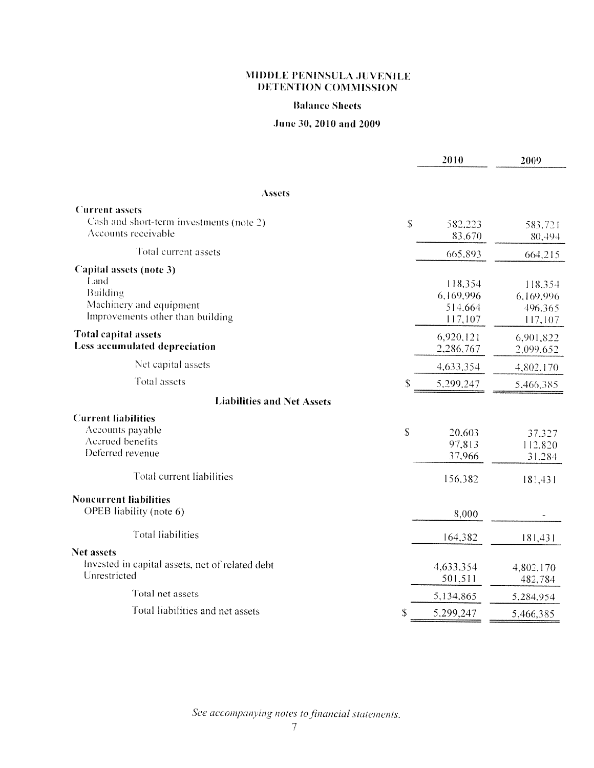#### **Balance Sheets**

# June 30, 2010 and 2009

|                                                                                                            | 2010                                       | 2009                                       |
|------------------------------------------------------------------------------------------------------------|--------------------------------------------|--------------------------------------------|
|                                                                                                            |                                            |                                            |
| <b>Assets</b>                                                                                              |                                            |                                            |
| <b>Current</b> assets<br>Cash and short-term investments (note 2)<br>Accounts receivable                   | \$<br>582,223<br>83,670                    | 583,721<br>80,494                          |
| Total current assets                                                                                       | 665,893                                    | 664,215                                    |
| Capital assets (note 3)<br>Land<br>Building<br>Machinery and equipment<br>Improvements other than building | 118,354<br>6,169,996<br>514,664<br>117,107 | 118,354<br>6,169,996<br>496,365<br>117,107 |
| <b>Total capital assets</b><br>Less accumulated depreciation                                               | 6,920,121<br>2,286,767                     | 6,901,822<br>2,099,652                     |
| Net capital assets                                                                                         | 4,633,354                                  | 4,802,170                                  |
| <b>Total</b> assets                                                                                        | \$<br>5,299,247                            | 5,466,385                                  |
| <b>Liabilities and Net Assets</b>                                                                          |                                            |                                            |
| <b>Current liabilities</b><br>Accounts payable<br>Accrued benefits<br>Deferred revenue                     | \$<br>20,603<br>97,813<br>37,966           | 37,327<br>112,820<br>31,284                |
| Total current liabilities                                                                                  | 156,382                                    | 181,431                                    |
| <b>Noncurrent liabilities</b><br>OPEB liability (note 6)                                                   | 8,000                                      |                                            |
| <b>Total liabilities</b>                                                                                   | 164,382                                    | 181,431                                    |
| Net assets<br>Invested in capital assets, net of related debt<br>Unrestricted                              | 4,633,354<br>501,511                       | 4,802,170<br>482,784                       |
| Total net assets                                                                                           | 5,134,865                                  | 5,284,954                                  |
| Total liabilities and net assets                                                                           | \$<br>5,299,247                            | 5,466,385                                  |

See accompanying notes to financial statements.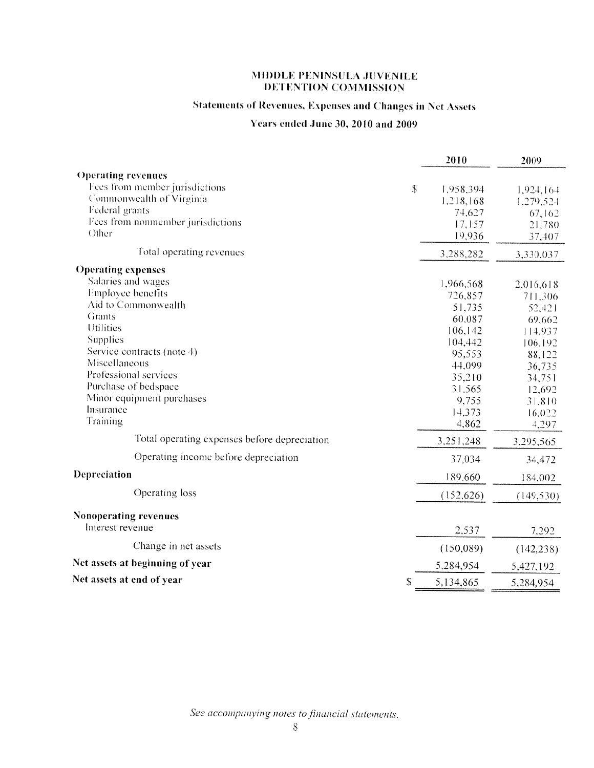# **Statements of Revenues, Expenses and Changes in Net Assets**

# Years ended June 30, 2010 and 2009

|                                                 | 2010       | 2009       |
|-------------------------------------------------|------------|------------|
| <b>Operating revenues</b>                       |            |            |
| Fees from member jurisdictions<br>$\mathcal{S}$ | 1,958,394  | 1,924,164  |
| Commonwealth of Virginia                        | 1,218,168  | 1,279,524  |
| Federal grants                                  | 74,627     | 67,162     |
| Fees from nonmember jurisdictions               | 17,157     | 21,780     |
| Other                                           | 19,936     | 37,407     |
| Total operating revenues                        | 3,288,282  | 3,330,037  |
| <b>Operating expenses</b>                       |            |            |
| Salaries and wages                              | 1,966,568  | 2,016,618  |
| Employee benefits                               | 726,857    | 711,306    |
| Aid to Commonwealth                             | 51,735     | 52,421     |
| Grants                                          | 60,087     | 69,662     |
| Utilities                                       | 106, 142   | 114,937    |
| Supplies                                        | 104,442    | 106,192    |
| Service contracts (note 4)                      | 95,553     | 88,122     |
| Miscellaneous                                   | 44,099     | 36,735     |
| Professional services                           | 35,210     | 34,751     |
| Purchase of bedspace                            | 31,565     | 12,692     |
| Minor equipment purchases                       | 9,755      | 31,810     |
| Insurance                                       | 14,373     | 16,022     |
| Training                                        | 4,862      | 4,297      |
| Total operating expenses before depreciation    | 3,251,248  | 3,295,565  |
| Operating income before depreciation            | 37,034     | 34,472     |
| Depreciation                                    | 189,660    | 184,002    |
| Operating loss                                  | (152, 626) | (149, 530) |
| <b>Nonoperating revenues</b>                    |            |            |
| Interest revenue                                | 2,537      | 7,292      |
| Change in net assets                            | (150,089)  | (142, 238) |
| Net assets at beginning of year                 | 5,284,954  | 5,427,192  |
| Net assets at end of year<br>\$                 | 5,134,865  | 5,284,954  |

See accompanying notes to financial statements.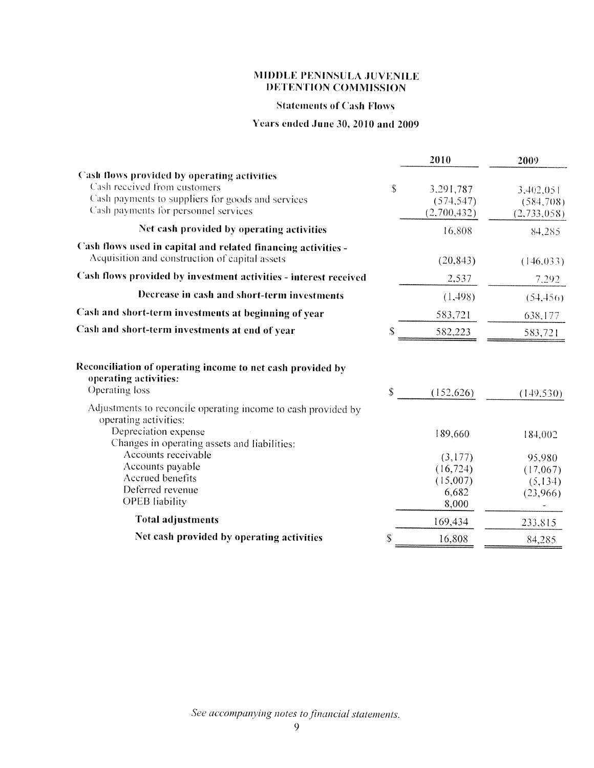#### **Statements of Cash Flows**

## Years ended June 30, 2010 and 2009

|                                                                                                                                                                          |    | 2010                                               | 2009                                       |
|--------------------------------------------------------------------------------------------------------------------------------------------------------------------------|----|----------------------------------------------------|--------------------------------------------|
| Cash flows provided by operating activities<br>Cash received from customers<br>Cash payments to suppliers for goods and services<br>Cash payments for personnel services | \$ | 3,291,787<br>(574, 547)<br>(2,700,432)             | 3,402,051<br>(584,708)<br>(2,733,058)      |
| Net cash provided by operating activities                                                                                                                                |    | 16,808                                             | 84,285                                     |
| Cash flows used in capital and related financing activities -<br>Acquisition and construction of capital assets                                                          |    | (20, 843)                                          | (146, 033)                                 |
| Cash flows provided by investment activities - interest received                                                                                                         |    | 2,537                                              | 7.292                                      |
| Decrease in cash and short-term investments                                                                                                                              |    | (1, 498)                                           | (54.456)                                   |
| Cash and short-term investments at beginning of year                                                                                                                     |    | 583,721                                            | 638,177                                    |
| Cash and short-term investments at end of year                                                                                                                           | \$ | 582,223                                            | 583,721                                    |
| Reconciliation of operating income to net cash provided by<br>operating activities:                                                                                      |    |                                                    |                                            |
| Operating loss                                                                                                                                                           | \$ | (152, 626)                                         | (149, 530)                                 |
| Adjustments to reconcile operating income to cash provided by<br>operating activities:<br>Depreciation expense<br>Changes in operating assets and liabilities:           |    | 189,660                                            | 184,002                                    |
| Accounts receivable<br>Accounts payable<br>Accrued benefits<br>Deferred revenue<br><b>OPEB</b> liability                                                                 |    | (3,177)<br>(16, 724)<br>(15,007)<br>6,682<br>8,000 | 95,980<br>(17,067)<br>(5, 134)<br>(23,966) |
| <b>Total adjustments</b>                                                                                                                                                 |    | 169,434                                            | 233,815                                    |
| Net cash provided by operating activities                                                                                                                                | S  | 16,808                                             | 84,285                                     |
|                                                                                                                                                                          |    |                                                    |                                            |

See accompanying notes to financial statements.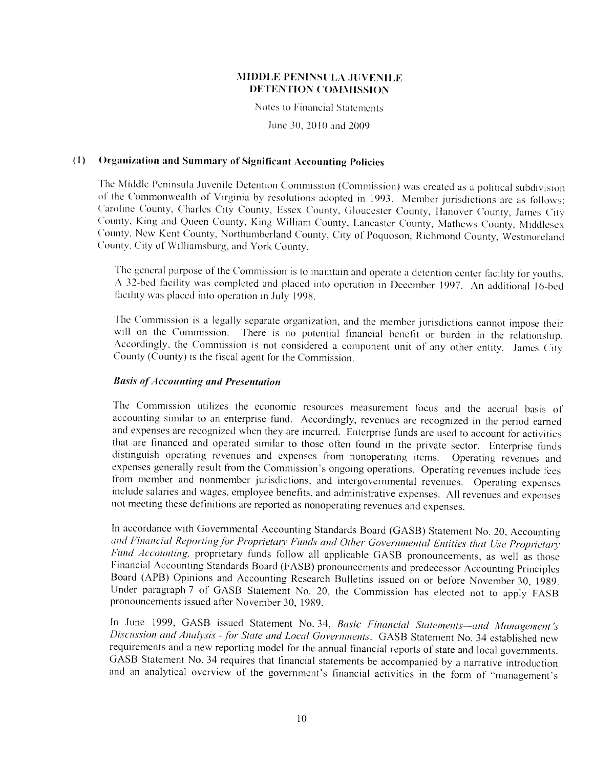Notes to Financial Statements

June 30, 2010 and 2009

#### $(1)$ **Organization and Summary of Significant Accounting Policies**

The Middle Peninsula Juvenile Detention Commission (Commission) was created as a political subdivision of the Commonwealth of Virginia by resolutions adopted in 1993. Member jurisdictions are as follows: Caroline County, Charles City County, Essex County, Gloucester County, Hanover County, James City County, King and Queen County, King William County, Lancaster County, Mathews County, Middlesex County, New Kent County, Northumberland County, City of Poquoson, Richmond County, Westmoreland County, City of Williamsburg, and York County.

The general purpose of the Commission is to maintain and operate a detention center facility for youths. A 32-bed facility was completed and placed into operation in December 1997. An additional 16-bed facility was placed into operation in July 1998.

The Commission is a legally separate organization, and the member jurisdictions cannot impose their will on the Commission. There is no potential financial benefit or burden in the relationship. Accordingly, the Commission is not considered a component unit of any other entity. James City County (County) is the fiscal agent for the Commission.

### **Basis of Accounting and Presentation**

The Commission utilizes the economic resources measurement focus and the accrual basis of accounting similar to an enterprise fund. Accordingly, revenues are recognized in the period earned and expenses are recognized when they are incurred. Enterprise funds are used to account for activities that are financed and operated similar to those often found in the private sector. Enterprise funds distinguish operating revenues and expenses from nonoperating items. Operating revenues and expenses generally result from the Commission's ongoing operations. Operating revenues include fees from member and nonmember jurisdictions, and intergovernmental revenues. Operating expenses include salaries and wages, employee benefits, and administrative expenses. All revenues and expenses not meeting these definitions are reported as nonoperating revenues and expenses.

In accordance with Governmental Accounting Standards Board (GASB) Statement No. 20, Accounting and Financial Reporting for Proprietary Funds and Other Governmental Entities that Use Proprietary Fund Accounting, proprietary funds follow all applicable GASB pronouncements, as well as those Financial Accounting Standards Board (FASB) pronouncements and predecessor Accounting Principles Board (APB) Opinions and Accounting Research Bulletins issued on or before November 30, 1989. Under paragraph 7 of GASB Statement No. 20, the Commission has elected not to apply FASB pronouncements issued after November 30, 1989.

In June 1999, GASB issued Statement No. 34, Basic Financial Statements-and Management's Discussion and Analysis - for State and Local Governments. GASB Statement No. 34 established new requirements and a new reporting model for the annual financial reports of state and local governments. GASB Statement No. 34 requires that financial statements be accompanied by a narrative introduction and an analytical overview of the government's financial activities in the form of "management's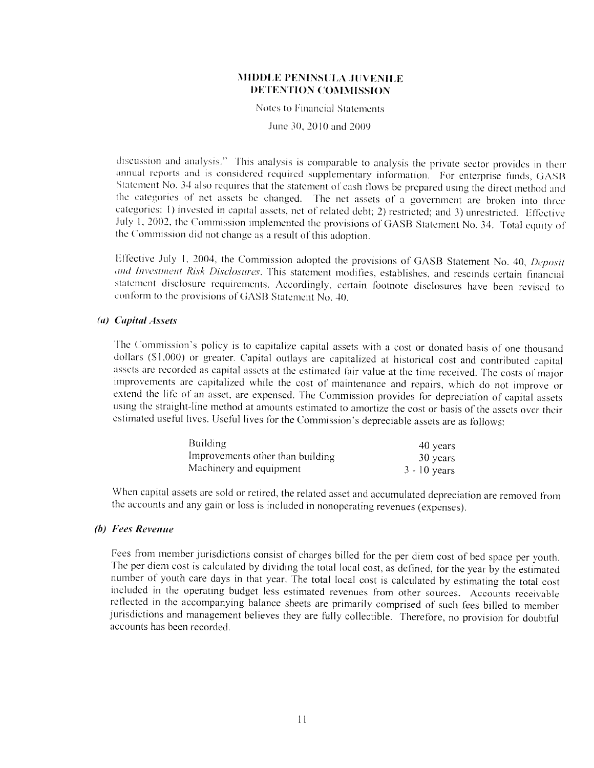Notes to Financial Statements

June 30, 2010 and 2009.

discussion and analysis." This analysis is comparable to analysis the private sector provides in their annual reports and is considered required supplementary information. For enterprise funds, GASB Statement No. 34 also requires that the statement of cash flows be prepared using the direct method and the categories of net assets be changed. The net assets of a government are broken into three categories: 1) invested in capital assets, net of related debt; 2) restricted; and 3) unrestricted. Effective July 1, 2002, the Commission implemented the provisions of GASB Statement No. 34. Total equity of the Commission did not change as a result of this adoption.

Effective July 1, 2004, the Commission adopted the provisions of GASB Statement No. 40, Deposit and Investment Risk Disclosures. This statement modifies, establishes, and rescinds certain financial statement disclosure requirements. Accordingly, certain footnote disclosures have been revised to conform to the provisions of GASB Statement No. 40.

#### (a) Capital Assets

The Commission's policy is to capitalize capital assets with a cost or donated basis of one thousand dollars (\$1,000) or greater. Capital outlays are capitalized at historical cost and contributed capital assets are recorded as capital assets at the estimated fair value at the time received. The costs of major improvements are capitalized while the cost of maintenance and repairs, which do not improve or extend the life of an asset, are expensed. The Commission provides for depreciation of capital assets using the straight-line method at amounts estimated to amortize the cost or basis of the assets over their estimated useful lives. Useful lives for the Commission's depreciable assets are as follows:

| Building                         | 40 years       |
|----------------------------------|----------------|
| Improvements other than building | 30 years       |
| Machinery and equipment          | $3 - 10$ years |

When capital assets are sold or retired, the related asset and accumulated depreciation are removed from the accounts and any gain or loss is included in nonoperating revenues (expenses).

#### (b) Fees Revenue

Fees from member jurisdictions consist of charges billed for the per diem cost of bed space per youth. The per diem cost is calculated by dividing the total local cost, as defined, for the year by the estimated number of youth care days in that year. The total local cost is calculated by estimating the total cost included in the operating budget less estimated revenues from other sources. Accounts receivable reflected in the accompanying balance sheets are primarily comprised of such fees billed to member jurisdictions and management believes they are fully collectible. Therefore, no provision for doubtful accounts has been recorded.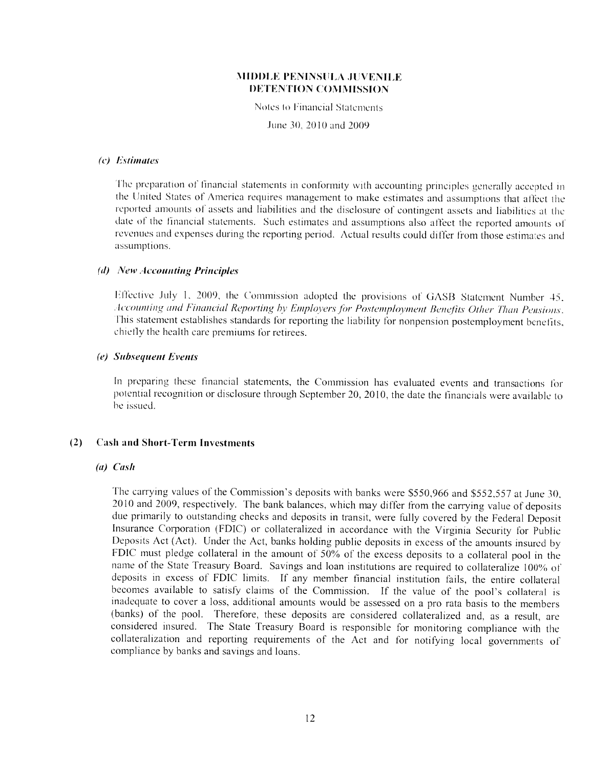Notes to Financial Statements

June 30, 2010 and 2009

#### (c) Estimates

The preparation of financial statements in conformity with accounting principles generally accepted in the United States of America requires management to make estimates and assumptions that affect the reported amounts of assets and liabilities and the disclosure of contingent assets and liabilities at the date of the financial statements. Such estimates and assumptions also affect the reported amounts of revenues and expenses during the reporting period. Actual results could differ from those estimates and assumptions.

#### (d) New Accounting Principles

Effective July 1, 2009, the Commission adopted the provisions of GASB Statement Number 45. Accounting and Financial Reporting by Employers for Postemployment Benefits Other Than Pensions. This statement establishes standards for reporting the liability for nonpension postemployment benefits, chiefly the health care premiums for retirees.

#### (e) Subsequent Events

In preparing these financial statements, the Commission has evaluated events and transactions for potential recognition or disclosure through September 20, 2010, the date the financials were available to be issued.

#### $(2)$ **Cash and Short-Term Investments**

#### $(a)$  Cash

The carrying values of the Commission's deposits with banks were \$550,966 and \$552,557 at June 30, 2010 and 2009, respectively. The bank balances, which may differ from the carrying value of deposits due primarily to outstanding checks and deposits in transit, were fully covered by the Federal Deposit Insurance Corporation (FDIC) or collateralized in accordance with the Virginia Security for Public Deposits Act (Act). Under the Act, banks holding public deposits in excess of the amounts insured by FDIC must pledge collateral in the amount of 50% of the excess deposits to a collateral pool in the name of the State Treasury Board. Savings and loan institutions are required to collateralize 100% of deposits in excess of FDIC limits. If any member financial institution fails, the entire collateral becomes available to satisfy claims of the Commission. If the value of the pool's collateral is inadequate to cover a loss, additional amounts would be assessed on a pro rata basis to the members (banks) of the pool. Therefore, these deposits are considered collateralized and, as a result, are considered insured. The State Treasury Board is responsible for monitoring compliance with the collateralization and reporting requirements of the Act and for notifying local governments of compliance by banks and savings and loans.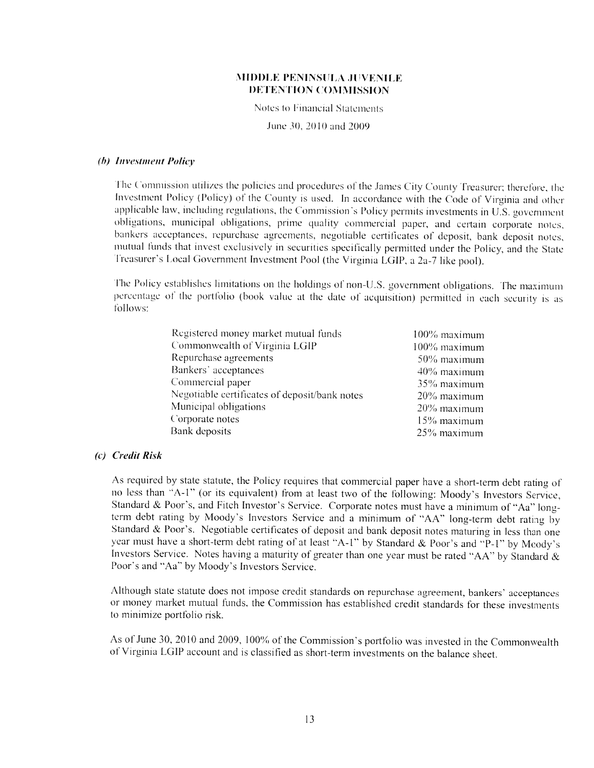Notes to Financial Statements

June 30, 2010 and 2009

#### (b) Investment Policy

The Commission utilizes the policies and procedures of the James City County Treasurer; therefore, the Investment Policy (Policy) of the County is used. In accordance with the Code of Virginia and other applicable law, including regulations, the Commission's Policy permits investments in U.S. government obligations, municipal obligations, prime quality commercial paper, and certain corporate notes, bankers acceptances, repurchase agreements, negotiable certificates of deposit, bank deposit notes, mutual funds that invest exclusively in securities specifically permitted under the Policy, and the State Treasurer's Local Government Investment Pool (the Virginia LGIP, a 2a-7 like pool).

The Policy establishes limitations on the holdings of non-U.S. government obligations. The maximum percentage of the portfolio (book value at the date of acquisition) permitted in each security is as follows:

| Registered money market mutual funds          | 100% maximum |
|-----------------------------------------------|--------------|
| Commonwealth of Virginia LGIP                 | 100% maximum |
| Repurchase agreements                         | 50% maximum  |
| Bankers' acceptances                          | 40% maximum  |
| Commercial paper                              | 35% maximum  |
| Negotiable certificates of deposit/bank notes | 20% maximum  |
| Municipal obligations                         | 20% maximum  |
| Corporate notes                               | 15% maximum  |
| Bank deposits                                 | 25% maximum  |

#### (c) Credit Risk

As required by state statute, the Policy requires that commercial paper have a short-term debt rating of no less than "A-1" (or its equivalent) from at least two of the following: Moody's Investors Service, Standard & Poor's, and Fitch Investor's Service. Corporate notes must have a minimum of "Aa" longterm debt rating by Moody's Investors Service and a minimum of "AA" long-term debt rating by Standard & Poor's. Negotiable certificates of deposit and bank deposit notes maturing in less than one year must have a short-term debt rating of at least "A-1" by Standard & Poor's and "P-1" by Moody's Investors Service. Notes having a maturity of greater than one year must be rated "AA" by Standard & Poor's and "Aa" by Moody's Investors Service.

Although state statute does not impose credit standards on repurchase agreement, bankers' acceptances or money market mutual funds, the Commission has established credit standards for these investments to minimize portfolio risk.

As of June 30, 2010 and 2009, 100% of the Commission's portfolio was invested in the Commonwealth of Virginia LGIP account and is classified as short-term investments on the balance sheet.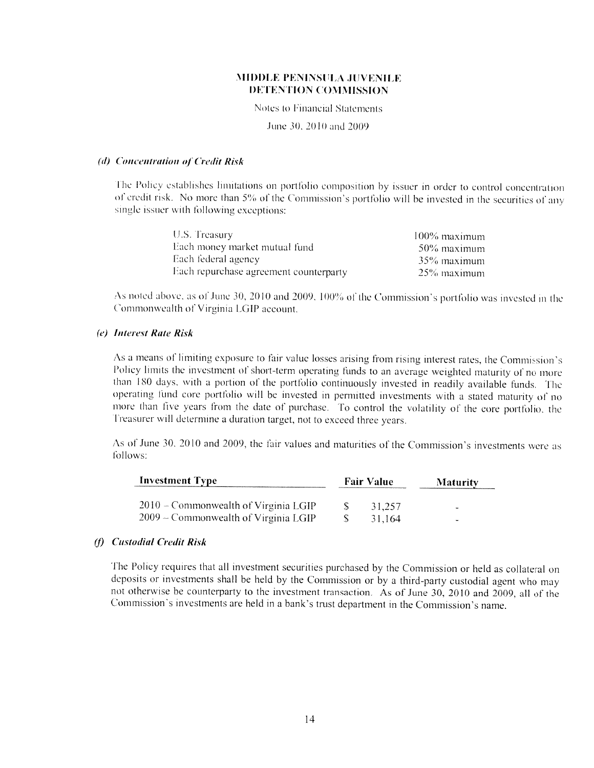Notes to Financial Statements

June 30, 2010 and 2009.

#### (d) Concentration of Credit Risk

The Policy establishes limitations on portfolio composition by issuer in order to control concentration of credit risk. No more than 5% of the Commission's portfolio will be invested in the securities of any single issuer with following exceptions:

| U.S. Treasury                          | $100\%$ maximum |
|----------------------------------------|-----------------|
| Each money market mutual fund          | 50% maximum     |
| Each federal agency                    | -35% maximum    |
| Each repurchase agreement counterparty | 25% maximum     |

As noted above, as of June 30, 2010 and 2009, 100% of the Commission's portfolio was invested in the Commonwealth of Virginia LGIP account.

#### (e) Interest Rate Risk

As a means of limiting exposure to fair value losses arising from rising interest rates, the Commission's Policy limits the investment of short-term operating funds to an average weighted maturity of no more than 180 days, with a portion of the portfolio continuously invested in readily available funds. The operating fund core portfolio will be invested in permitted investments with a stated maturity of no more than five years from the date of purchase. To control the volatility of the core portfolio, the Treasurer will determine a duration target, not to exceed three years.

As of June 30, 2010 and 2009, the fair values and maturities of the Commission's investments were as follows:

| <b>Investment Type</b>                 | <b>Fair Value</b> | <b>Maturity</b> |
|----------------------------------------|-------------------|-----------------|
| $2010$ – Commonwealth of Virginia LGIP | 31.257            | ٠               |
| $2009$ – Commonwealth of Virginia LGIP | 31.164            | <b>Service</b>  |

#### (f) Custodial Credit Risk

The Policy requires that all investment securities purchased by the Commission or held as collateral on deposits or investments shall be held by the Commission or by a third-party custodial agent who may not otherwise be counterparty to the investment transaction. As of June 30, 2010 and 2009, all of the Commission's investments are held in a bank's trust department in the Commission's name.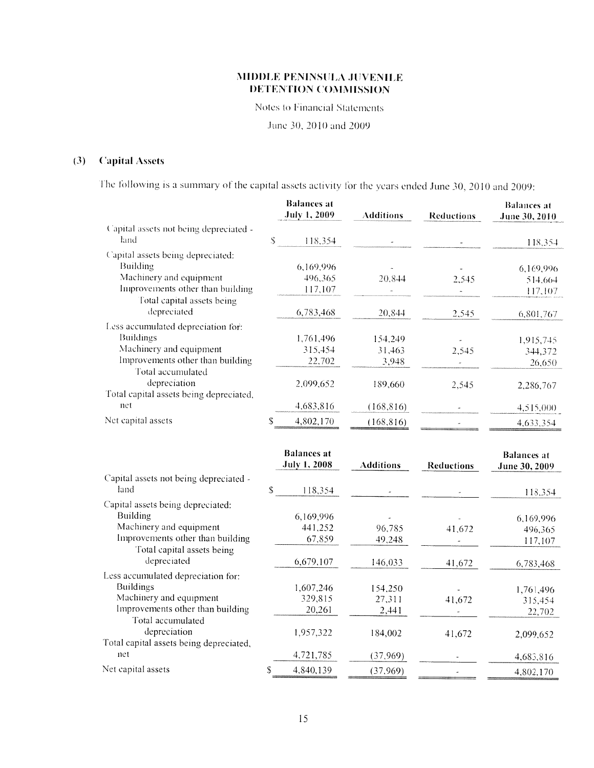Notes to Financial Statements

June 30, 2010 and 2009

#### $(3)$ **Capital Assets**

The following is a summary of the capital assets activity for the years ended June 30, 2010 and 2009:

|                                                                |               | <b>Balances</b> at<br><b>July 1, 2009</b> | <b>Additions</b>     | <b>Reductions</b> | <b>Balances</b> at<br>June 30, 2010 |
|----------------------------------------------------------------|---------------|-------------------------------------------|----------------------|-------------------|-------------------------------------|
| Capital assets not being depreciated -                         |               |                                           |                      |                   |                                     |
| land                                                           | S.            | 118,354                                   |                      |                   | 118,354                             |
| Capital assets being depreciated:                              |               |                                           |                      |                   |                                     |
| Building                                                       |               | 6,169,996                                 |                      |                   | 6,169,996                           |
| Machinery and equipment                                        |               | 496,365                                   | 20,844               | 2,545             | 514,664                             |
| Improvements other than building                               |               | 117,107                                   |                      |                   | 117,107                             |
| Total capital assets being<br>depreciated                      |               | 6,783,468                                 | 20,844               | 2,545             | 6,801,767                           |
| Less accumulated depreciation for:                             |               |                                           |                      |                   |                                     |
| <b>Buildings</b>                                               |               | 1,761,496                                 | 154,249              |                   | 1,915,745                           |
| Machinery and equipment                                        |               | 315,454                                   | 31,463               | 2,545             | 344,372                             |
| Improvements other than building                               |               | 22,702                                    | 3,948                |                   | 26,650                              |
| Total accumulated                                              |               |                                           |                      |                   |                                     |
| depreciation                                                   |               | 2,099,652                                 | 189,660              | 2,545             | 2,286,767                           |
| Total capital assets being depreciated,<br>net                 |               | 4,683,816                                 | (168, 816)           |                   | 4,515,000                           |
| Net capital assets                                             | ${\mathbb S}$ | 4,802,170                                 | (168, 816)           |                   | 4,633,354                           |
|                                                                |               |                                           |                      |                   |                                     |
|                                                                |               | <b>Balances</b> at                        |                      |                   | <b>Balances at</b>                  |
|                                                                |               | <b>July 1, 2008</b>                       | <b>Additions</b>     | <b>Reductions</b> | June 30, 2009                       |
| Capital assets not being depreciated -                         |               |                                           |                      |                   |                                     |
| land                                                           | \$            | 118,354                                   |                      |                   | 118,354                             |
| Capital assets being depreciated:                              |               |                                           |                      |                   |                                     |
| <b>Building</b>                                                |               | 6,169,996                                 |                      |                   | 6,169,996                           |
| Machinery and equipment                                        |               | 441,252                                   | 96,785               |                   |                                     |
| Improvements other than building<br>Total capital assets being |               |                                           |                      | 41,672            | 496,365                             |
|                                                                |               | 67,859                                    | 49,248               |                   | 117,107                             |
| depreciated                                                    |               | 6,679,107                                 | 146,033              | 41,672            |                                     |
| Less accumulated depreciation for:                             |               |                                           |                      |                   | 6,783,468                           |
| <b>Buildings</b>                                               |               | 1,607,246                                 | 154,250              |                   |                                     |
| Machinery and equipment                                        |               | 329,815                                   | 27,311               | 41,672            | 1,761,496<br>315,454                |
| Improvements other than building                               |               | 20,261                                    | 2,441                |                   | 22,702                              |
| Total accumulated                                              |               |                                           |                      |                   |                                     |
| depreciation                                                   |               | 1,957,322                                 | 184,002              | 41,672            | 2,099,652                           |
| Total capital assets being depreciated,<br>net                 |               |                                           |                      |                   |                                     |
| Net capital assets                                             | S             | 4,721,785<br>4,840,139                    | (37,969)<br>(37,969) |                   | 4,683,816<br>4,802,170              |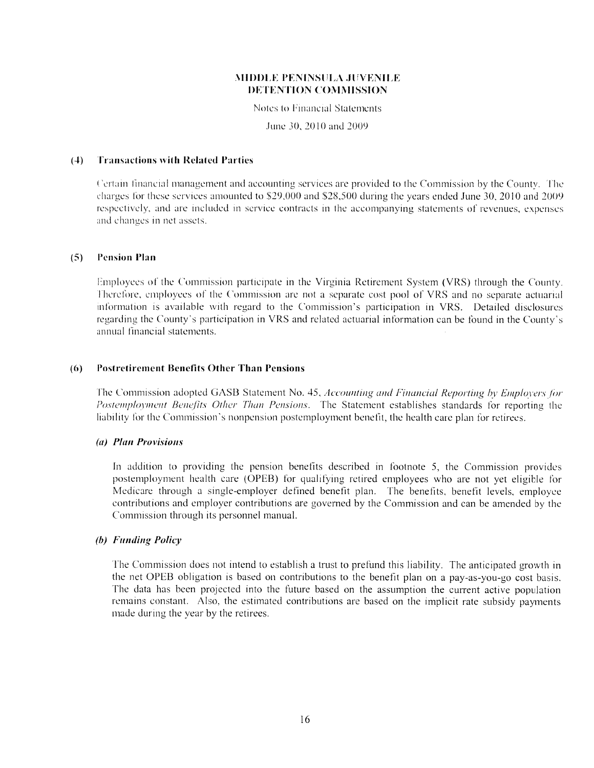Notes to Financial Statements

June 30, 2010 and 2009.

#### **Transactions with Related Parties**  $(4)$

Certain financial management and accounting services are provided to the Commission by the County. The charges for these services amounted to \$29,000 and \$28,500 during the years ended June 30, 2010 and 2009 respectively, and are included in service contracts in the accompanying statements of revenues, expenses and changes in net assets.

#### **Pension Plan**  $(5)$

Employees of the Commission participate in the Virginia Retirement System (VRS) through the County. Therefore, employees of the Commission are not a separate cost pool of VRS and no separate actuarial information is available with regard to the Commission's participation in VRS. Detailed disclosures regarding the County's participation in VRS and related actuarial information can be found in the County's annual financial statements.

#### **Postretirement Benefits Other Than Pensions**  $(6)$

The Commission adopted GASB Statement No. 45, Accounting and Financial Reporting by Employers for Postemployment Benefits Other Than Pensions. The Statement establishes standards for reporting the liability for the Commission's nonpension postemployment benefit, the health care plan for retirees.

#### (a) Plan Provisions

In addition to providing the pension benefits described in footnote 5, the Commission provides postemployment health care (OPEB) for qualifying retired employees who are not yet eligible for Medicare through a single-employer defined benefit plan. The benefits, benefit levels, employee contributions and employer contributions are governed by the Commission and can be amended by the Commission through its personnel manual.

#### (b) Funding Policy

The Commission does not intend to establish a trust to prefund this liability. The anticipated growth in the net OPEB obligation is based on contributions to the benefit plan on a pay-as-you-go cost basis. The data has been projected into the future based on the assumption the current active population remains constant. Also, the estimated contributions are based on the implicit rate subsidy payments made during the year by the retirees.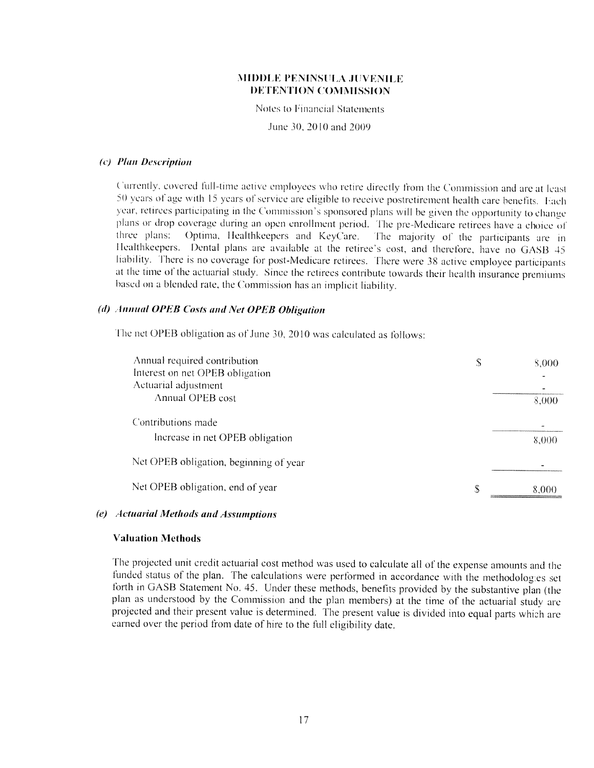Notes to Financial Statements

June 30, 2010 and 2009

#### (c) Plan Description

Currently, covered full-time active employees who retire directly from the Commission and are at least 50 years of age with 15 years of service are eligible to receive postretirement health care benefits. Each year, retirees participating in the Commission's sponsored plans will be given the opportunity to change plans or drop coverage during an open enrollment period. The pre-Medicare retirees have a choice of three plans: Optima, Healthkeepers and KeyCare. The majority of the participants are in Healthkeepers. Dental plans are available at the retiree's cost, and therefore, have no GASB 45 liability. There is no coverage for post-Medicare retirees. There were 38 active employee participants at the time of the actuarial study. Since the retirees contribute towards their health insurance premiums based on a blended rate, the Commission has an implicit liability.

#### (d) Annual OPEB Costs and Net OPEB Obligation

The net OPEB obligation as of June 30, 2010 was calculated as follows:

| Annual required contribution<br>Interest on net OPEB obligation<br>Actuarial adjustment | S  | 8,000 |
|-----------------------------------------------------------------------------------------|----|-------|
| Annual OPEB cost<br>Contributions made                                                  |    | 8,000 |
| Increase in net OPEB obligation                                                         |    | 8,000 |
| Net OPEB obligation, beginning of year                                                  |    |       |
| Net OPEB obligation, end of year                                                        | \$ | 8,000 |

### (e) Actuarial Methods and Assumptions

#### **Valuation Methods**

The projected unit credit actuarial cost method was used to calculate all of the expense amounts and the funded status of the plan. The calculations were performed in accordance with the methodologies set forth in GASB Statement No. 45. Under these methods, benefits provided by the substantive plan (the plan as understood by the Commission and the plan members) at the time of the actuarial study are projected and their present value is determined. The present value is divided into equal parts which are earned over the period from date of hire to the full eligibility date.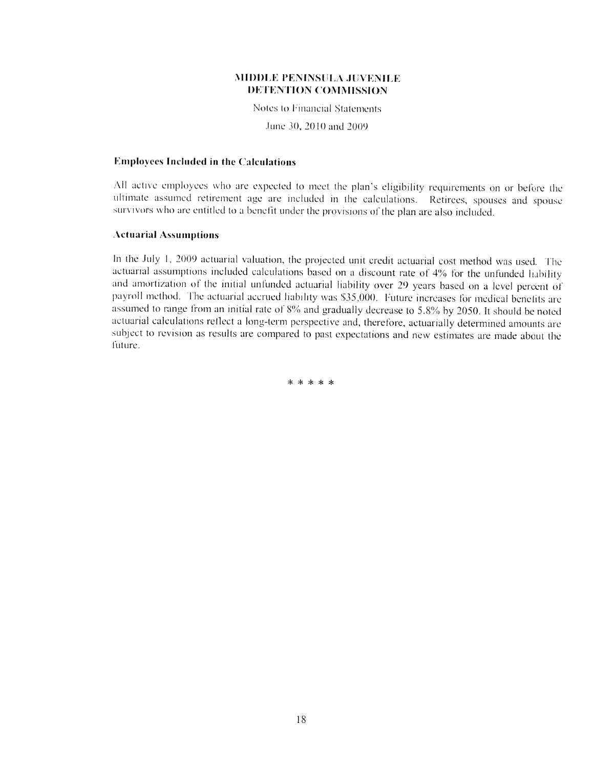Notes to Financial Statements

June 30, 2010 and 2009

#### **Employees Included in the Calculations**

All active employees who are expected to meet the plan's eligibility requirements on or before the ultimate assumed retirement age are included in the calculations. Retirees, spouses and spouse survivors who are entitled to a benefit under the provisions of the plan are also included.

#### **Actuarial Assumptions**

In the July 1, 2009 actuarial valuation, the projected unit credit actuarial cost method was used. The actuarial assumptions included calculations based on a discount rate of 4% for the unfunded liability and amortization of the initial unfunded actuarial liability over 29 years based on a level percent of payroll method. The actuarial accrued liability was \$35,000. Future increases for medical benefits are assumed to range from an initial rate of 8% and gradually decrease to 5.8% by 2050. It should be noted actuarial calculations reflect a long-term perspective and, therefore, actuarially determined amounts are subject to revision as results are compared to past expectations and new estimates are made about the future.

\* \* \* \* \*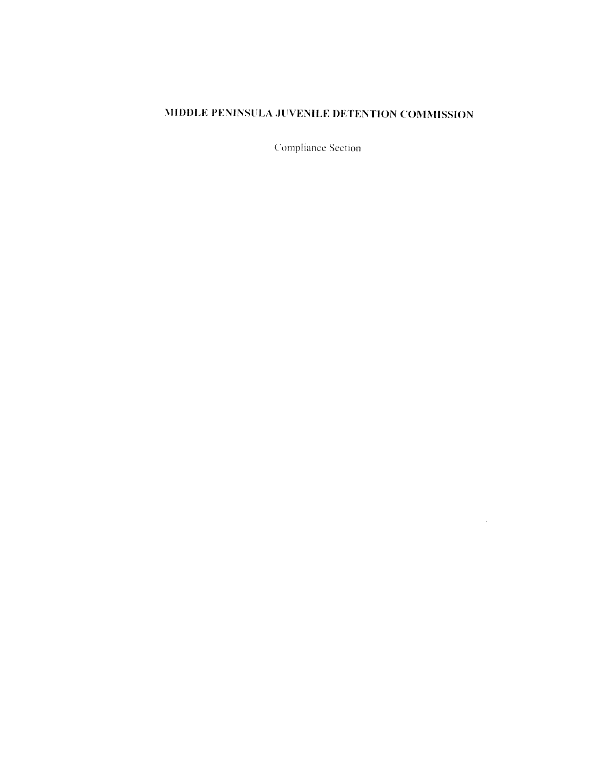Compliance Section

 $\sim$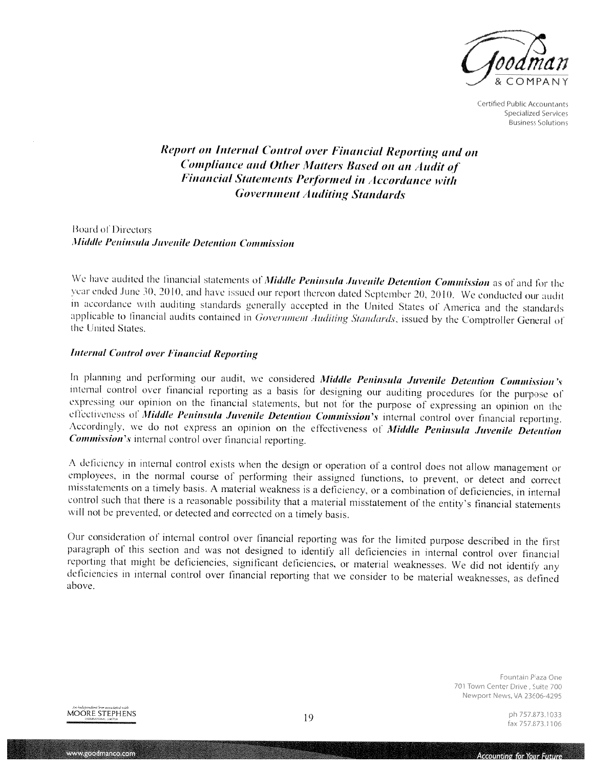

Certified Public Accountants **Specialized Services Business Solutions** 

# **Report on Internal Control over Financial Reporting and on** Compliance and Other Matters Based on an Audit of **Financial Statements Performed in Accordance with Government Auditing Standards**

**Board of Directors** Middle Peninsula Juvenile Detention Commission

We have audited the financial statements of Middle Peninsula Juvenile Detention Commission as of and for the year ended June 30, 2010, and have issued our report thereon dated September 20, 2010. We conducted our audit in accordance with auditing standards generally accepted in the United States of America and the standards applicable to financial audits contained in Government Auditing Standards, issued by the Comptroller General of the United States

#### **Internal Control over Financial Reporting**

In planning and performing our audit, we considered Middle Peninsula Juvenile Detention Commission's internal control over financial reporting as a basis for designing our auditing procedures for the purpose of expressing our opinion on the financial statements, but not for the purpose of expressing an opinion on the effectiveness of Middle Peninsula Juvenile Detention Commission's internal control over financial reporting. Accordingly, we do not express an opinion on the effectiveness of Middle Peninsula Juvenile Detention *Commission's* internal control over financial reporting.

A deficiency in internal control exists when the design or operation of a control does not allow management or employees, in the normal course of performing their assigned functions, to prevent, or detect and correct misstatements on a timely basis. A material weakness is a deficiency, or a combination of deficiencies, in internal control such that there is a reasonable possibility that a material misstatement of the entity's financial statements will not be prevented, or detected and corrected on a timely basis.

Our consideration of internal control over financial reporting was for the limited purpose described in the first paragraph of this section and was not designed to identify all deficiencies in internal control over financial reporting that might be deficiencies, significant deficiencies, or material weaknesses. We did not identify any deficiencies in internal control over financial reporting that we consider to be material weaknesses, as defined above.

> Fountain Plaza One 701 Town Center Drive - Suite 700 Newport News, VA 23606-4295



www.goodmanco.com

ph 757.873,1033 fax 757.873.1106